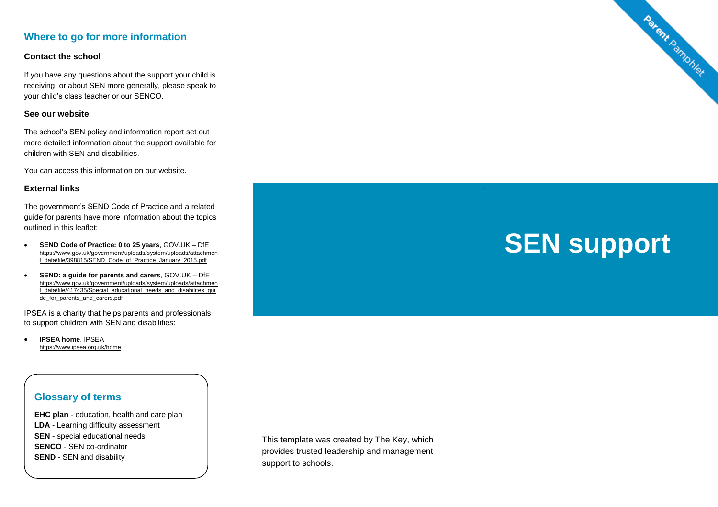## **Where to go for more information**

### **Contact the school**

If you have any questions about the support your child is receiving, or about SEN more generally, please speak to your child's class teacher or our SENCO.

#### **See our website**

The school's SEN policy and information report set out more detailed information about the support available for children with SEN and disabilities.

You can access this information on our website.

#### **External links**

The government's SEND Code of Practice and a related guide for parents have more information about the topics outlined in this leaflet:

- **SEND Code of Practice: 0 to 25 years**, GOV.UK DfE [https://www.gov.uk/government/uploads/system/uploads/attachmen](https://www.gov.uk/government/uploads/system/uploads/attachment_data/file/398815/SEND_Code_of_Practice_January_2015.pdf) [t\\_data/file/398815/SEND\\_Code\\_of\\_Practice\\_January\\_2015.pdf](https://www.gov.uk/government/uploads/system/uploads/attachment_data/file/398815/SEND_Code_of_Practice_January_2015.pdf)
- **SEND: a guide for parents and carers**, GOV.UK DfE [https://www.gov.uk/government/uploads/system/uploads/attachmen](https://www.gov.uk/government/uploads/system/uploads/attachment_data/file/417435/Special_educational_needs_and_disabilites_guide_for_parents_and_carers.pdf) t\_data/file/417435/Special\_educational\_needs\_and\_disabilites\_qui [de\\_for\\_parents\\_and\\_carers.pdf](https://www.gov.uk/government/uploads/system/uploads/attachment_data/file/417435/Special_educational_needs_and_disabilites_guide_for_parents_and_carers.pdf)

IPSEA is a charity that helps parents and professionals to support children with SEN and disabilities:

 **IPSEA home**, IPSEA <https://www.ipsea.org.uk/home>



Parent Pamphlet

## **Glossary of terms**

**EHC plan** - education, health and care plan **LDA** - Learning difficulty assessment **SEN** - special educational needs **SENCO** - SEN co-ordinator **SEND** - SEN and disability

This template was created by The Key, which provides trusted leadership and management support to schools.